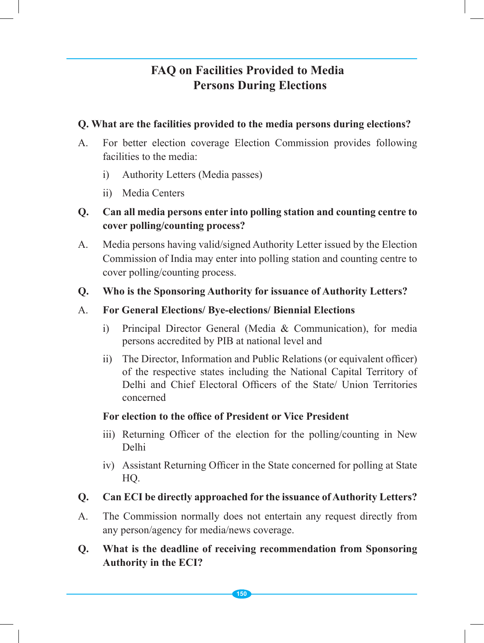# **FAQ on Facilities Provided to Media Persons During Elections**

#### **Q. What are the facilities provided to the media persons during elections?**

- A. For better election coverage Election Commission provides following facilities to the media:
	- i) Authority Letters (Media passes)
	- ii) Media Centers

# **Q. Can all media persons enter into polling station and counting centre to cover polling/counting process?**

A. Media persons having valid/signed Authority Letter issued by the Election Commission of India may enter into polling station and counting centre to cover polling/counting process.

### **Q. Who is the Sponsoring Authority for issuance of Authority Letters?**

#### A. **For General Elections/ Bye-elections/ Biennial Elections**

- i) Principal Director General (Media & Communication), for media persons accredited by PIB at national level and
- ii) The Director, Information and Public Relations (or equivalent officer) of the respective states including the National Capital Territory of Delhi and Chief Electoral Officers of the State/ Union Territories concerned

#### **For election to the office of President or Vice President**

- iii) Returning Officer of the election for the polling/counting in New Delhi
- iv) Assistant Returning Officer in the State concerned for polling at State HQ.

# **Q. Can ECI be directly approached for the issuance of Authority Letters?**

- A. The Commission normally does not entertain any request directly from any person/agency for media/news coverage.
- **Q. What is the deadline of receiving recommendation from Sponsoring Authority in the ECI?**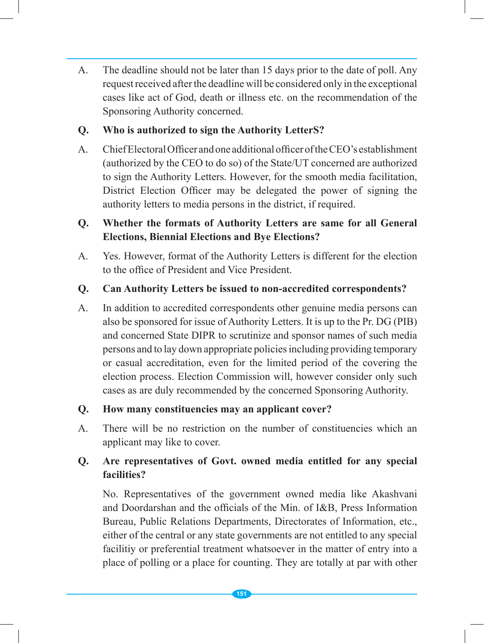A. The deadline should not be later than 15 days prior to the date of poll. Any request received after the deadline will be considered only in the exceptional cases like act of God, death or illness etc. on the recommendation of the Sponsoring Authority concerned.

#### **Q. Who is authorized to sign the Authority LetterS?**

A. Chief Electoral Officer and one additional officer of the CEO's establishment (authorized by the CEO to do so) of the State/UT concerned are authorized to sign the Authority Letters. However, for the smooth media facilitation, District Election Officer may be delegated the power of signing the authority letters to media persons in the district, if required.

# **Q. Whether the formats of Authority Letters are same for all General Elections, Biennial Elections and Bye Elections?**

A. Yes. However, format of the Authority Letters is different for the election to the office of President and Vice President.

#### **Q. Can Authority Letters be issued to non-accredited correspondents?**

A. In addition to accredited correspondents other genuine media persons can also be sponsored for issue of Authority Letters. It is up to the Pr. DG (PIB) and concerned State DIPR to scrutinize and sponsor names of such media persons and to lay down appropriate policies including providing temporary or casual accreditation, even for the limited period of the covering the election process. Election Commission will, however consider only such cases as are duly recommended by the concerned Sponsoring Authority.

#### **Q. How many constituencies may an applicant cover?**

A. There will be no restriction on the number of constituencies which an applicant may like to cover.

### **Q. Are representatives of Govt. owned media entitled for any special facilities?**

No. Representatives of the government owned media like Akashvani and Doordarshan and the officials of the Min. of I&B, Press Information Bureau, Public Relations Departments, Directorates of Information, etc., either of the central or any state governments are not entitled to any special facilitiy or preferential treatment whatsoever in the matter of entry into a place of polling or a place for counting. They are totally at par with other